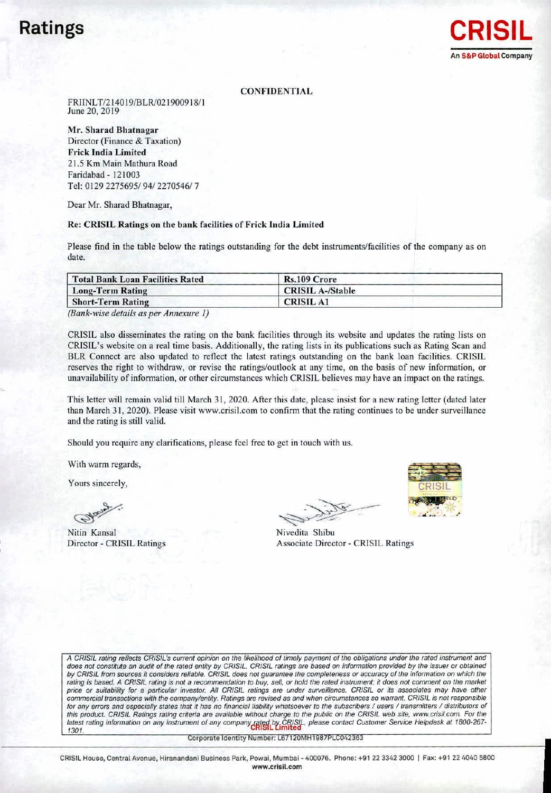## Ratings



#### **CONFIDENTIAL**

FRJINLT/2140 19/BLRJ021900918/1 June 20, 2019

Mr. Sharad Bhatnagar Director (Finance & Taxation) Frick India Limited 21.5 Km Main Mathura Road Faridabad ~ 121003 Tel: 01292275695/94/2270546/7

Dear Mr. Sharad Bhatnagar,

#### Re: CRISIL Ratings on the bank facilities of Frick India Limited

Please find in the table below the ratings outstanding for the debt instruments/facilities of the company as on date.

| Rs.109 Crore            |  |
|-------------------------|--|
| <b>CRISIL A-/Stable</b> |  |
| <b>CRISIL A1</b>        |  |
|                         |  |

*(Bank-wise details as per Anne.wre I)*

CRISIL also disseminates the rating on the bank facilities through its website and updates the rating lists on CRISIL's website on a real time basis. Additionally, the rating lists in its publications such as Rating Scan and BLR Connect are also updated to reflect the latest ratings outstanding on the bank loan facilities. CRISIL reserves the right to withdraw, or revise the ratings/outlook at any time, on the basis of new information, or unavailability of information, or other circumstances which CRISIL believes may have an impact on the ratings.

This letter will remain valid till March 31, 2020. After this date, please insist for a new rating letter (dated later than March 31, 2020). Please visit www.crisil.com to confirm that the rating continues to be under surveillance and the rating is still valid.

Should you require any clarifications. please feel free to get in touch with us.

With warm regards,

Yours sincerely,

Nitin Kansal Director - CRISIL Ratings

 $\overline{y}$  $-\sqrt{2}$  $\frac{1}{2}$ ~~~<br>##

Nivedita Shibu Associate Director. CRISIL Ratings

A CRISIL rating reflects CRISIL's current opinion on the likelihood of timely payment of the obligations under the rated instrument and does not constitute an audit of the rated entity by CRISIL. CRISIL ratings are based on information provided by the issuer or obtained by CRISIL from sources it considers reliable. CRISIL does not guarantee the completeness or accuracy of the information on which the rating is based. A CRISIL rating is not a recommendation to buy, sell, or hold the rated instrument; it does not comment on the market price or suitability for a particular investor. All CRISIL ratings are under surveillance. CRISIL or its associates may have other commercial transactions with the company/entity. Ratings are revised as and when circumstances so warrant. CRISIL is not responsible for any errors and especially states that it has no financial liability whatsoever to the subscribers / users / transmitters / distributors of this product. CRISIL Ratings rating criteria are available without charge to the public on the CRISIL web site, [www.crisil.com.](http://www.crisil.com.) For the latest rating information on any instrument of any company rated by CRISIL, please contact Customer Service Helpdesk at 1800-267<br>1301

Corporate Identity Number: L67120MH1987PLC042363